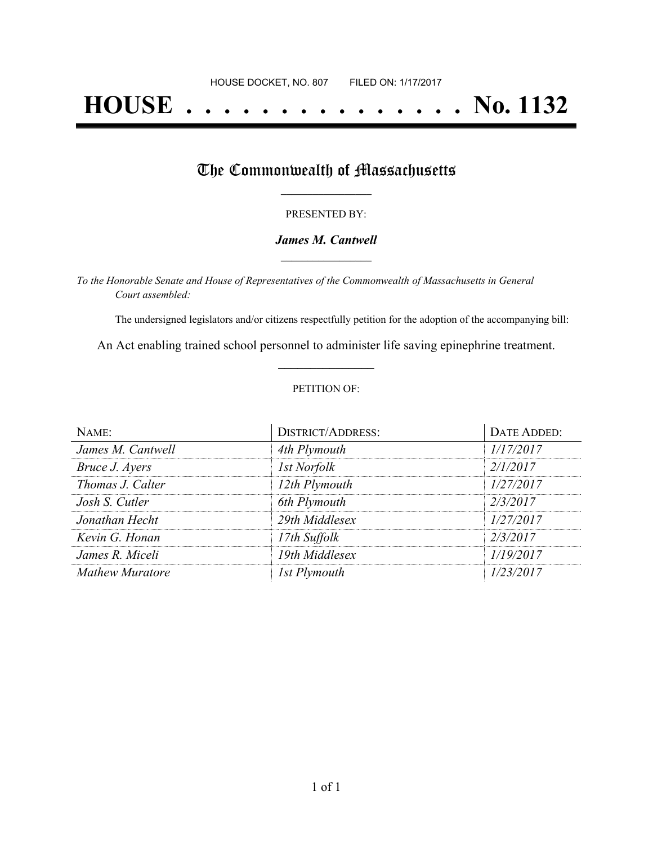# **HOUSE . . . . . . . . . . . . . . . No. 1132**

## The Commonwealth of Massachusetts

#### PRESENTED BY:

#### *James M. Cantwell* **\_\_\_\_\_\_\_\_\_\_\_\_\_\_\_\_\_**

*To the Honorable Senate and House of Representatives of the Commonwealth of Massachusetts in General Court assembled:*

The undersigned legislators and/or citizens respectfully petition for the adoption of the accompanying bill:

An Act enabling trained school personnel to administer life saving epinephrine treatment. **\_\_\_\_\_\_\_\_\_\_\_\_\_\_\_**

#### PETITION OF:

| NAME:             | <b>DISTRICT/ADDRESS:</b> | <b>DATE ADDED:</b> |
|-------------------|--------------------------|--------------------|
| James M. Cantwell | 4th Plymouth             | 1/17/2017          |
| Bruce J. Ayers    | 1st Norfolk              | 2/1/2017           |
| Thomas J. Calter  | 12th Plymouth            | 1/27/2017          |
| Josh S. Cutler    | 6th Plymouth             | 2/3/2017           |
| Jonathan Hecht    | 29th Middlesex           | 1/27/2017          |
| Kevin G. Honan    | 17th Suffolk             | 2/3/2017           |
| James R. Miceli   | 19th Middlesex           | 1/19/2017          |
| Mathew Muratore   | 1st Plymouth             | 1/23/2017          |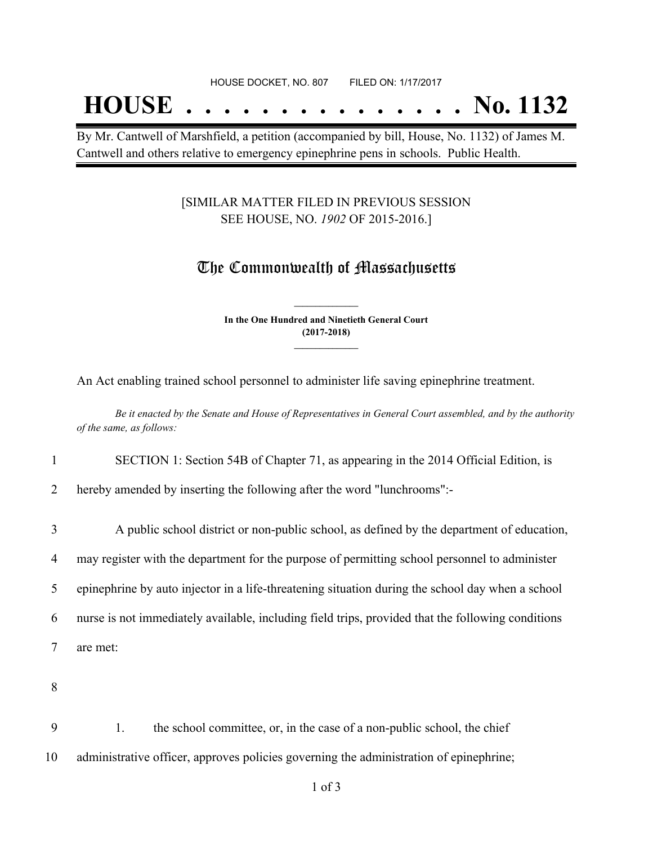## **HOUSE . . . . . . . . . . . . . . . No. 1132**

By Mr. Cantwell of Marshfield, a petition (accompanied by bill, House, No. 1132) of James M. Cantwell and others relative to emergency epinephrine pens in schools. Public Health.

#### [SIMILAR MATTER FILED IN PREVIOUS SESSION SEE HOUSE, NO. *1902* OF 2015-2016.]

## The Commonwealth of Massachusetts

**In the One Hundred and Ninetieth General Court (2017-2018) \_\_\_\_\_\_\_\_\_\_\_\_\_\_\_**

**\_\_\_\_\_\_\_\_\_\_\_\_\_\_\_**

An Act enabling trained school personnel to administer life saving epinephrine treatment.

Be it enacted by the Senate and House of Representatives in General Court assembled, and by the authority *of the same, as follows:*

1 SECTION 1: Section 54B of Chapter 71, as appearing in the 2014 Official Edition, is

2 hereby amended by inserting the following after the word "lunchrooms":-

 A public school district or non-public school, as defined by the department of education, may register with the department for the purpose of permitting school personnel to administer epinephrine by auto injector in a life-threatening situation during the school day when a school nurse is not immediately available, including field trips, provided that the following conditions 7 are met:

8

9 1. the school committee, or, in the case of a non-public school, the chief 10 administrative officer, approves policies governing the administration of epinephrine;

1 of 3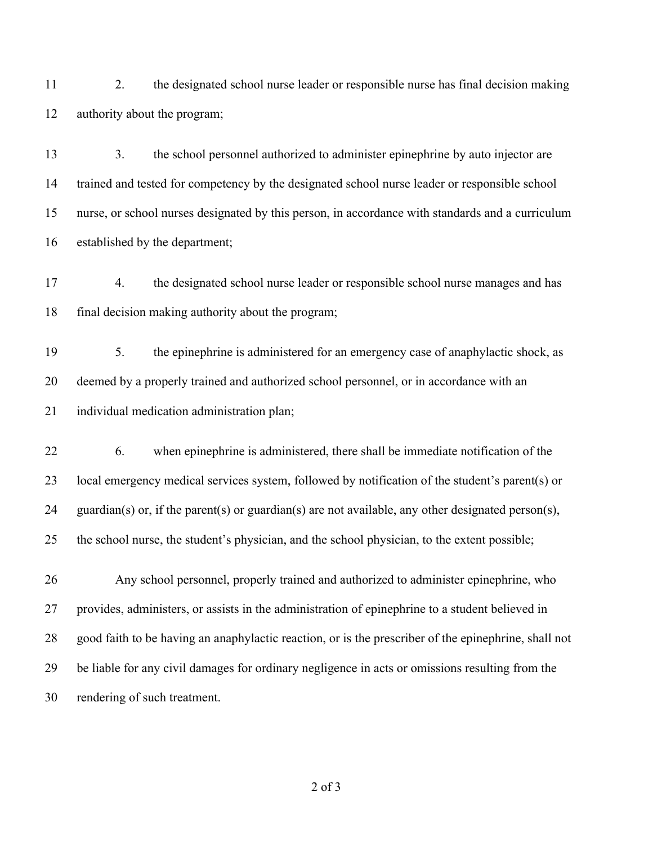2. the designated school nurse leader or responsible nurse has final decision making authority about the program;

 3. the school personnel authorized to administer epinephrine by auto injector are trained and tested for competency by the designated school nurse leader or responsible school nurse, or school nurses designated by this person, in accordance with standards and a curriculum established by the department;

 4. the designated school nurse leader or responsible school nurse manages and has final decision making authority about the program;

 5. the epinephrine is administered for an emergency case of anaphylactic shock, as deemed by a properly trained and authorized school personnel, or in accordance with an individual medication administration plan;

 6. when epinephrine is administered, there shall be immediate notification of the local emergency medical services system, followed by notification of the student's parent(s) or guardian(s) or, if the parent(s) or guardian(s) are not available, any other designated person(s), the school nurse, the student's physician, and the school physician, to the extent possible;

 Any school personnel, properly trained and authorized to administer epinephrine, who provides, administers, or assists in the administration of epinephrine to a student believed in good faith to be having an anaphylactic reaction, or is the prescriber of the epinephrine, shall not be liable for any civil damages for ordinary negligence in acts or omissions resulting from the rendering of such treatment.

of 3